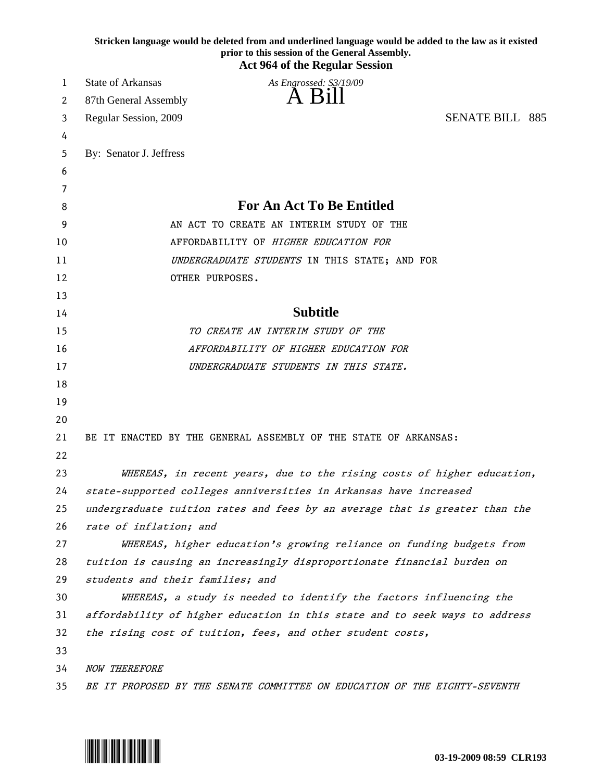|          | Stricken language would be deleted from and underlined language would be added to the law as it existed<br>prior to this session of the General Assembly.<br><b>Act 964 of the Regular Session</b> |
|----------|----------------------------------------------------------------------------------------------------------------------------------------------------------------------------------------------------|
| 1        | <b>State of Arkansas</b><br>As Engrossed: S3/19/09                                                                                                                                                 |
| 2        | A Bill<br>87th General Assembly                                                                                                                                                                    |
| 3        | <b>SENATE BILL 885</b><br>Regular Session, 2009                                                                                                                                                    |
| 4        |                                                                                                                                                                                                    |
| 5        | By: Senator J. Jeffress                                                                                                                                                                            |
| 6        |                                                                                                                                                                                                    |
| 7        |                                                                                                                                                                                                    |
| 8        | <b>For An Act To Be Entitled</b>                                                                                                                                                                   |
| 9        | AN ACT TO CREATE AN INTERIM STUDY OF THE                                                                                                                                                           |
| 10       | AFFORDABILITY OF HIGHER EDUCATION FOR                                                                                                                                                              |
| 11       | UNDERGRADUATE STUDENTS IN THIS STATE; AND FOR                                                                                                                                                      |
| 12       | OTHER PURPOSES.                                                                                                                                                                                    |
| 13       |                                                                                                                                                                                                    |
| 14       | <b>Subtitle</b>                                                                                                                                                                                    |
| 15       | TO CREATE AN INTERIM STUDY OF THE                                                                                                                                                                  |
| 16       | AFFORDABILITY OF HIGHER EDUCATION FOR                                                                                                                                                              |
| 17       | UNDERGRADUATE STUDENTS IN THIS STATE.                                                                                                                                                              |
| 18       |                                                                                                                                                                                                    |
| 19       |                                                                                                                                                                                                    |
| 20       |                                                                                                                                                                                                    |
| 21<br>22 | BE IT ENACTED BY THE GENERAL ASSEMBLY OF THE STATE OF ARKANSAS:                                                                                                                                    |
| 23       | WHEREAS, in recent years, due to the rising costs of higher education,                                                                                                                             |
| 24       | state-supported colleges anniversities in Arkansas have increased                                                                                                                                  |
| 25       | undergraduate tuition rates and fees by an average that is greater than the                                                                                                                        |
| 26       | rate of inflation; and                                                                                                                                                                             |
| 27       | WHEREAS, higher education's growing reliance on funding budgets from                                                                                                                               |
| 28       | tuition is causing an increasingly disproportionate financial burden on                                                                                                                            |
| 29       | students and their families; and                                                                                                                                                                   |
| 30       | WHEREAS, a study is needed to identify the factors influencing the                                                                                                                                 |
| 31       | affordability of higher education in this state and to seek ways to address                                                                                                                        |
| 32       | the rising cost of tuition, fees, and other student costs,                                                                                                                                         |
| 33       |                                                                                                                                                                                                    |
| 34       | <b>NOW THEREFORE</b>                                                                                                                                                                               |
| 35       | BE IT PROPOSED BY THE SENATE COMMITTEE ON EDUCATION OF THE EIGHTY-SEVENTH                                                                                                                          |